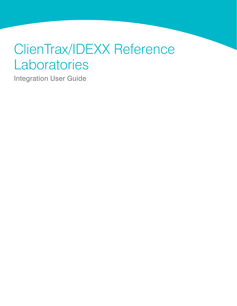# ClienTrax/IDEXX Reference Laboratories

Integration User Guide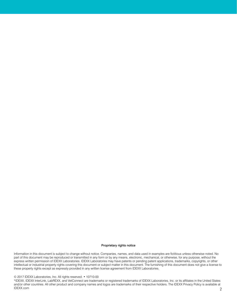#### Proprietary rights notice

Information in this document is subject to change without notice. Companies, names, and data used in examples are fictitious unless otherwise noted. No part of this document may be reproduced or transmitted in any form or by any means, electronic, mechanical, or otherwise, for any purpose, without the express written permission of IDEXX Laboratories. IDEXX Laboratories may have patents or pending patent applications, trademarks, copyrights, or other intellectual or industrial property rights covering this document or subject matter in this document. The furnishing of this document does not give a license to these property rights except as expressly provided in any written license agreement from IDEXX Laboratories.

#### © 2017 IDEXX Laboratories, Inc. All rights reserved. • 10710-00

2 \*IDEXX, IDEXX InterLink, LabREXX, and VetConnect are trademarks or registered trademarks of IDEXX Laboratories, Inc. or its affiliates in the United States and/or other countries. All other product and company names and logos are trademarks of their respective holders. The IDEXX Privacy Policy is available at IDEXX.com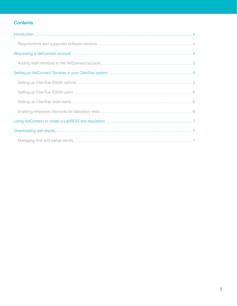# **Contents**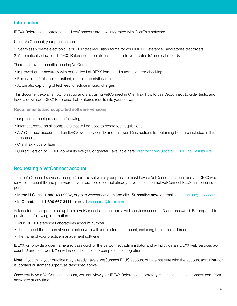# <span id="page-3-0"></span>Introduction

IDEXX Reference Laboratories and VetConnect\* are now integrated with ClienTrax software.

Using VetConnect, your practice can:

- 1. Seamlessly create electronic LabREXX\* test requisition forms for your IDEXX Reference Laboratories test orders.
- 2. Automatically download IDEXX Reference Laboratories results into your patients' medical records.

There are several benefits to using VetConnect:

- Improved order accuracy with bar-coded LabREXX forms and automatic error checking
- Elimination of misspelled patient, doctor, and staff names
- Automatic capturing of test fees to reduce missed charges

This document explains how to set up and start using VetConnect in ClienTrax, how to use VetConnect to order tests, and how to download IDEXX Reference Laboratories results into your software.

<span id="page-3-1"></span>Requirements and supported software versions

Your practice must provide the following:

- Internet access on all computers that will be used to create test requisitions
- A VetConnect account and an IDEXX web services ID and password (instructions for obtaining both are included in this document)
- ClienTrax 7.0c9 or later
- Current version of IDEXXLabResults.exe (3.0 or greater), available here: clientrax.com/Update/IDEXX Lab Results.exe

# <span id="page-3-2"></span>Requesting a VetConnect account

To use VetConnect services through ClienTrax software, your practice must have a VetConnect account and an IDEXX web services account ID and password. If your practice does not already have these, contact VetConnect PLUS customer support:

- In the U.S., call 1-888-433-9987, or go to vetconnect.com and click Subscribe now, or email [vccontactus@idexx.com](mailto:vccontactus@idexx.com)
- In Canada, call 1-800-667-3411, or email vccanada@idexx.com

Ask customer support to set up both a VetConnect account and a web services account ID and password. Be prepared to provide the following information:

- Your IDEXX Reference Laboratories account number
- The name of the person at your practice who will administer the account, including their email address
- The name of your practice management software

IDEXX will provide a user name and password for the VetConnect administrator and will provide an IDEXX web services account ID and password. You will need all of these to complete the integration.

Note: If you think your practice may already have a VetConnect PLUS account but are not sure who the account administrator is, contact customer support, as described above.

Once you have a VetConnect account, you can view your IDEXX Reference Laboratory results online at vetconnect.com from anywhere at any time.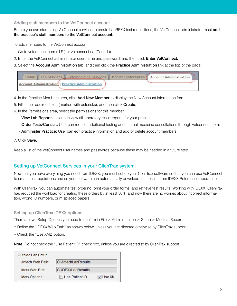## <span id="page-4-0"></span>Adding staff members to the VetConnect account

Before you can start using VetConnect services to create LabREXX test requisitions, the VetConnect administrator must add the practice's staff members to the VetConnect account.

To add members to the VetConnect account:

- 1. Go to vetconnect.com (U.S.) or vetconnect.ca (Canada).
- 2. Enter the VetConnect administrator user name and password, and then click Enter VetConnect.
- 3. Select the Account Administration tab, and then click the Practice Administration link at the top of the page.



- 4. In the Practice Members area, click Add New Member to display the New Account information form.
- 5. Fill in the required fields (marked with asterisks), and then click Create.
- 6. In the Permissions area, select the permissions for this member:
	- View Lab Reports: User can view all laboratory result reports for your practice.
	- Order Tests/Consult: User can request additional testing and internal medicine consultations through vetconnect.com.
	- Administer Practice: User can edit practice information and add or delete account members.

#### 7. Click Save.

Keep a list of the VetConnect user names and passwords because these may be needed in a future step.

# <span id="page-4-1"></span>Setting up VetConnect Services in your ClienTrax system

Now that you have everything you need from IDEXX, you must set up your ClienTrax software so that you can use VetConnect to create test requisitions and so your software can automatically download test results from IDEXX Reference Laboratories.

With ClienTrax, you can automate test ordering, print your order forms, and retrieve test results. Working with IDEXX, ClienTrax has reduced the workload for creating these orders by at least 50%, and now there are no worries about incorrect information, wrong ID numbers, or misplaced papers.

#### <span id="page-4-2"></span>Setting up ClienTrax IDEXX options

There are two Setup Options you need to confirm in File > Administration > Setup > Medical Records:

- Define the "IDEXX Web Path" as shown below, unless you are directed otherwise by ClienTrax support.
- Check the "Use XML" option.

Note: Do not check the "Use Patient ID" check box, unless you are directed to by ClienTrax support.

| Outside Lab Setup      |                           |           |
|------------------------|---------------------------|-----------|
| Antech Web Path:       | C:\AntechLabResults       |           |
| <b>Idexx Web Path:</b> | <b>C:\IDEXXLabResults</b> |           |
| Idexx Options:         | Use Patient ID            | V Use XML |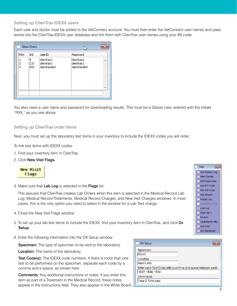## <span id="page-5-0"></span>Setting up ClienTrax IDEXX users

Each user and doctor must be added to the VetConnect account. You must then enter the VetConnect user names and passwords into the ClienTrax-IDEXX user database and link them with ClienTrax user names using your INI code.

| <b>RSN</b>  | INI                           | <b>UserID</b>                            | Password                                  |   |
|-------------|-------------------------------|------------------------------------------|-------------------------------------------|---|
| 1<br>2<br>3 | 5<br><b>CJJ</b><br><b>RXX</b> | dientrax1<br>clientrax1<br>clientraxalrd | clientrax1<br>clientrax1<br>clientraxalrd | A |
|             |                               |                                          |                                           |   |

You also need a user name and password for downloading results. This must be a Global User, entered with the initials "RXX," as you see above.

#### <span id="page-5-1"></span>Setting up ClienTrax order items

Next, you must set up the laboratory test items in your inventory to include the IDEXX codes you will order.

To link test items with IDEXX codes:

- 1. Find your inventory item in ClienTrax.
- 2. Click New Visit Flags.



3. Make sure that Lab Log is selected in the Flags list.

This assures that ClienTrax creates Lab Orders when this item is selected in the Medical Record Lab Log, Medical Record Treatments, Medical Record Charges, and New Visit Charges windows. In most cases, this is the only option you need to select in the window for a Lab Test charge.

- 4. Close the New Visit Flags window.
- 5. To set up your lab test items to include the IDEXX, find your inventory item in ClienTrax, and click Dx Setup.
- 6. Enter the following information into the DX Setup window:

Specimen: The type of specimen to be sent to the laboratory.

**Location:** The name of the laboratory.

Test Code(s): The IDEXX code numbers. If there is more than one test to be performed on the specimen, separate each code by a comma and a space, as shown here.

Comments: Any additional instructions or notes. If you enter this item as part of a Treatment in the Medical Record, these notes appear in the Instructions field. They also appear in the White Board.

| <b>DX Setup</b>   |                                                           |
|-------------------|-----------------------------------------------------------|
| Specimen          |                                                           |
| <b>Blood</b>      |                                                           |
| Location          |                                                           |
| <b>Idexx Labs</b> |                                                           |
|                   | Enter each Test Code with a comma and space between each. |
| 1537, 1538, 1539  |                                                           |
| Comments          |                                                           |
| Take 2 10ml vials |                                                           |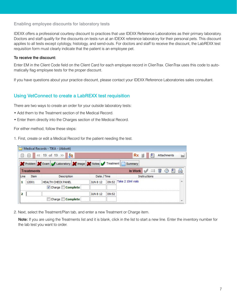#### <span id="page-6-0"></span>Enabling employee discounts for laboratory tests

IDEXX offers a professional courtesy discount to practices that use IDEXX Reference Laboratories as their primary laboratory. Doctors and staff qualify for the discounts on tests run at an IDEXX reference laboratory for their personal pets. This discount applies to all tests except cytology, histology, and send-outs. For doctors and staff to receive the discount, the LabREXX test requisition form must clearly indicate that the patient is an employee pet.

#### To receive the discount:

Enter EM in the Client Code field on the Client Card for each employee record in ClienTrax. ClienTrax uses this code to automatically flag employee tests for the proper discount.

If you have questions about your practice discount, please contact your IDEXX Reference Laboratories sales consultant.

# <span id="page-6-1"></span>Using VetConnect to create a LabREXX test requisition

There are two ways to create an order for your outside laboratory tests:

- Add them to the Treatment section of the Medical Record.
- Enter them directly into the Charges section of the Medical Record.

For either method, follow these steps:

1. First, create or edit a Medical Record for the patient needing the test.

|      |                   | Medical Records - TIKA - (Abbott)                       |                 |       |                   |                 |             |    |  |
|------|-------------------|---------------------------------------------------------|-----------------|-------|-------------------|-----------------|-------------|----|--|
|      | 圖                 | << 19 of 19 >> 22                                       |                 |       | Rx                |                 | Attachments |    |  |
|      |                   | Problem X Exam / Laboratory X Image X Notes / Treatment |                 |       | Summary           |                 |             |    |  |
|      | <b>Treatments</b> |                                                         |                 |       | In Work           | $\Rightarrow$ 0 | $\bullet$   | P. |  |
| Line | Item              | Description                                             | Date / Time     |       |                   | Instructions    |             |    |  |
|      | 12001             | <b>HEALTH CHECK PANEL</b>                               | <b>JUN 8 12</b> | 09:52 | Take 2 10ml vials |                 |             |    |  |
|      |                   | V Charge Complete                                       |                 |       |                   |                 |             |    |  |
| 2    |                   |                                                         | <b>JUN 8 12</b> | 09:52 |                   |                 |             |    |  |
|      |                   | Charge Complete                                         |                 |       |                   |                 |             |    |  |

2. Next, select the Treatment/Plan tab, and enter a new Treatment or Charge item.

Note: If you are using the Treatments list and it is blank, click in the list to start a new line. Enter the inventory number for the lab test you want to order.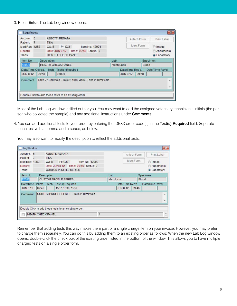3. Press Enter. The Lab Log window opens.

| Account: 6                |                             | ABBOTT, RENATA                                                    | Antech Form                         | Print Label                            |
|---------------------------|-----------------------------|-------------------------------------------------------------------|-------------------------------------|----------------------------------------|
| Patient:<br>Med Rec: 1252 | $\overline{7}$              | <b>TIKA</b><br>Pr. CJJ<br>CO: 5<br>Item No: 12001                 | Idexx Form                          | lmage                                  |
| Record:<br>Trans:         |                             | Date: JUN 8 12 Time: 09:58 Status: 0<br><b>HEALTH CHECK PANEL</b> |                                     | Anesthesia<br>W<br><b>O</b> Laboratory |
| Item No                   |                             | <b>Description</b>                                                | Lab                                 | Specimen                               |
| 12001                     |                             | <b>HEALTH CHECK PANEL</b>                                         | Atech Labs                          | Blood                                  |
| <b>JUN 8 12</b>           | Date/Time Collctd.<br>09:58 | Tech Test(s) Required<br>86000                                    | Date/Time Rec'd.<br><b>JUN 8 12</b> | Date/Time Rev'd<br>09:58               |
| Comment                   |                             | Take 2 10ml vials - Take 2 10ml vials - Take 2 10ml vials         |                                     | A.<br>$\overline{\phantom{a}}$         |

Most of the Lab Log window is filled out for you. You may want to add the assigned veterinary technician's initials (the person who collected the sample) and any additional instructions under Comments.

4. You can add additional tests to your order by entering the IDEXX order code(s) in the Test(s) Required field. Separate each test with a comma and a space, as below.

You may also want to modify the description to reflect the additional tests.

| Account: 6               | ABBOTT, RENATA                                        |            |                  | Antech Form |          | Print Label         |                               |
|--------------------------|-------------------------------------------------------|------------|------------------|-------------|----------|---------------------|-------------------------------|
| Patient:<br>7            | <b>TIKA</b>                                           |            |                  |             |          |                     |                               |
| Med Rec: 1252            | Pr CJJ<br>Item No: 12002<br>CO:5                      |            |                  | Idexx Form  |          | lmage               |                               |
| Record:                  | Date: JUN 8 12<br>Time: 09:46 Status: 0               |            |                  |             |          | Anesthesia          |                               |
| Trans:                   | <b>CUSTOM PROFILE SERIES</b>                          |            |                  |             |          | <b>O</b> Laboratory |                               |
| Item No                  | Description                                           | Lab        |                  |             | Specimen |                     |                               |
| 12002                    | <b>CUSTOM PROFILE SERIES</b>                          | Idexx Labs |                  |             | Blood    |                     |                               |
| Date/Time Collctd.       | Tech<br>Test(s) Required                              |            | Date/Time Rec'd. |             |          | Date/Time Rev'd     |                               |
| <b>JUN 8 12</b><br>09:46 | 1537, 1538, 1539                                      |            | <b>JUN 8 12</b>  | 09:46       |          |                     |                               |
| Comment                  | CUSTOM PROFILE SERIES - Take 2 10ml vials             |            |                  |             |          |                     | ×<br>$\overline{\phantom{a}}$ |
|                          | Double Click to add these tests to an existing order. |            |                  |             |          |                     |                               |
|                          | <b>HEATH CHECK PANEL</b><br>1                         |            |                  |             |          |                     |                               |

Remember that adding tests this way makes them part of a single charge item on your invoice. However, you may prefer to charge them separately. You can do this by adding them to an existing order as follows: When the new Lab Log window opens, double-click the check box of the existing order listed in the bottom of the window. This allows you to have multiple charged tests on a single order form.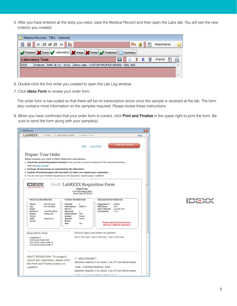5. After you have entered all the tests you need, save the Medical Record and then open the Labs tab. You will see the new order(s) you created.

| Medical Records - TIKA - (Abbott)<br>$\left  \begin{array}{ccc} 22 & 6 & 22 \end{array} \right  \rightarrow \left  \begin{array}{ccc} 22 & 22 & 22 \end{array} \right $<br>圖<br>$\blacksquare$ | $Rx =$<br>Attachments                                 |
|------------------------------------------------------------------------------------------------------------------------------------------------------------------------------------------------|-------------------------------------------------------|
| Problem X Exam Laboratory X Image X Notes Treatment Summary                                                                                                                                    |                                                       |
| <b>Laboratory Tests</b>                                                                                                                                                                        | A<br><b>NIE</b><br>Import<br>$\overline{\mathcal{L}}$ |
| 2535<br>MAR 26 13 - 16:52 Idexx Labs - CUSTOM PROFILE SERIES - 600, 605<br>Ordered                                                                                                             |                                                       |

- 6. Double-click the first order you created to open the Lab Log window.
- 7. Click Idexx Form to review your order form.

The order form is bar-coded so that there will be no transcription errors once the sample is received at the lab. The form also contains more information on the samples required. Please review these instructions.

8. When you have confirmed that your order form is correct, click Print and Finalize in the upper right to print the form. Be sure to send the form along with your sample(s).